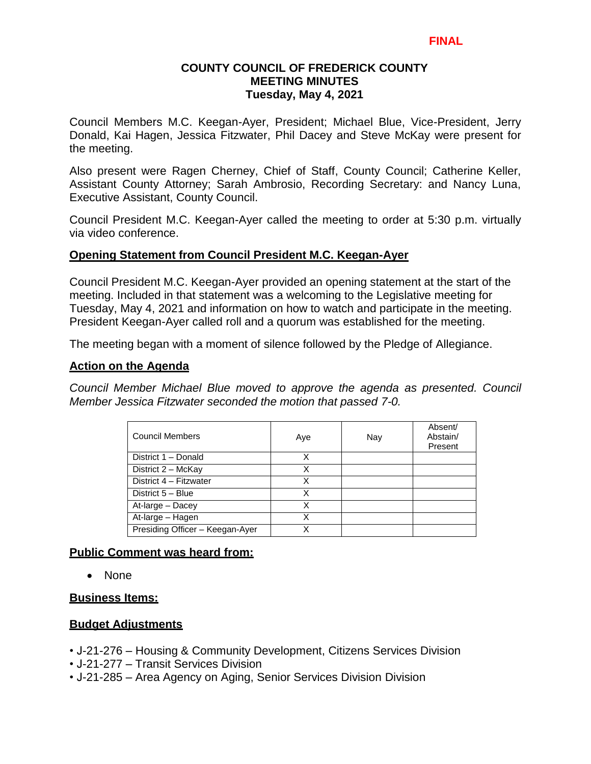# **COUNTY COUNCIL OF FREDERICK COUNTY MEETING MINUTES Tuesday, May 4, 2021**

Council Members M.C. Keegan-Ayer, President; Michael Blue, Vice-President, Jerry Donald, Kai Hagen, Jessica Fitzwater, Phil Dacey and Steve McKay were present for the meeting.

Also present were Ragen Cherney, Chief of Staff, County Council; Catherine Keller, Assistant County Attorney; Sarah Ambrosio, Recording Secretary: and Nancy Luna, Executive Assistant, County Council.

Council President M.C. Keegan-Ayer called the meeting to order at 5:30 p.m. virtually via video conference.

# **Opening Statement from Council President M.C. Keegan-Ayer**

Council President M.C. Keegan-Ayer provided an opening statement at the start of the meeting. Included in that statement was a welcoming to the Legislative meeting for Tuesday, May 4, 2021 and information on how to watch and participate in the meeting. President Keegan-Ayer called roll and a quorum was established for the meeting.

The meeting began with a moment of silence followed by the Pledge of Allegiance.

### **Action on the Agenda**

*Council Member Michael Blue moved to approve the agenda as presented. Council Member Jessica Fitzwater seconded the motion that passed 7-0.*

| <b>Council Members</b>          | Aye | Nay | Absent/<br>Abstain/<br>Present |
|---------------------------------|-----|-----|--------------------------------|
| District 1 - Donald             | x   |     |                                |
| District 2 - McKay              | X   |     |                                |
| District 4 - Fitzwater          | Χ   |     |                                |
| District 5 - Blue               | Χ   |     |                                |
| At-large - Dacey                | Χ   |     |                                |
| At-large - Hagen                |     |     |                                |
| Presiding Officer - Keegan-Ayer |     |     |                                |

# **Public Comment was heard from:**

• None

#### **Business Items:**

# **Budget Adjustments**

- J-21-276 Housing & Community Development, Citizens Services Division
- J-21-277 Transit Services Division
- J-21-285 Area Agency on Aging, Senior Services Division Division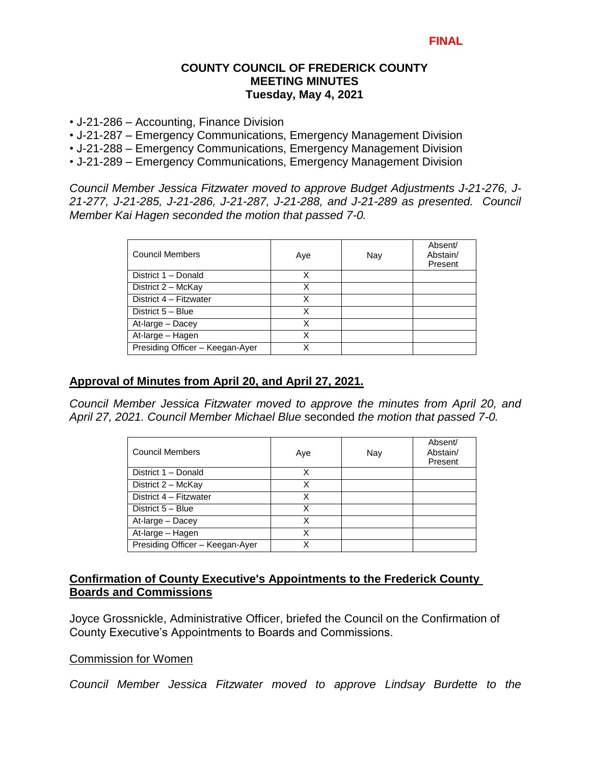### **COUNTY COUNCIL OF FREDERICK COUNTY MEETING MINUTES Tuesday, May 4, 2021**

- J-21-286 Accounting, Finance Division
- J-21-287 Emergency Communications, Emergency Management Division
- J-21-288 Emergency Communications, Emergency Management Division
- J-21-289 Emergency Communications, Emergency Management Division

*Council Member Jessica Fitzwater moved to approve Budget Adjustments J-21-276, J-21-277, J-21-285, J-21-286, J-21-287, J-21-288, and J-21-289 as presented. Council Member Kai Hagen seconded the motion that passed 7-0.*

| <b>Council Members</b>          | Aye | Nay | Absent/<br>Abstain/<br>Present |
|---------------------------------|-----|-----|--------------------------------|
| District 1 - Donald             | х   |     |                                |
| District 2 - McKay              | X   |     |                                |
| District 4 - Fitzwater          | x   |     |                                |
| District 5 - Blue               | x   |     |                                |
| At-large - Dacey                | Χ   |     |                                |
| At-large - Hagen                | x   |     |                                |
| Presiding Officer - Keegan-Ayer | x   |     |                                |

# **Approval of Minutes from April 20, and April 27, 2021.**

*Council Member Jessica Fitzwater moved to approve the minutes from April 20, and April 27, 2021. Council Member Michael Blue* seconded *the motion that passed 7-0.* 

| <b>Council Members</b>          | Aye | Nay | Absent/<br>Abstain/<br>Present |
|---------------------------------|-----|-----|--------------------------------|
| District 1 - Donald             | x   |     |                                |
| District 2 - McKay              | x   |     |                                |
| District 4 - Fitzwater          | x   |     |                                |
| District 5 - Blue               | x   |     |                                |
| At-large - Dacey                | x   |     |                                |
| At-large - Hagen                | x   |     |                                |
| Presiding Officer - Keegan-Ayer | x   |     |                                |

# **Confirmation of County Executive's Appointments to the Frederick County Boards and Commissions**

Joyce Grossnickle, Administrative Officer, briefed the Council on the Confirmation of County Executive's Appointments to Boards and Commissions.

#### Commission for Women

*Council Member Jessica Fitzwater moved to approve Lindsay Burdette to the*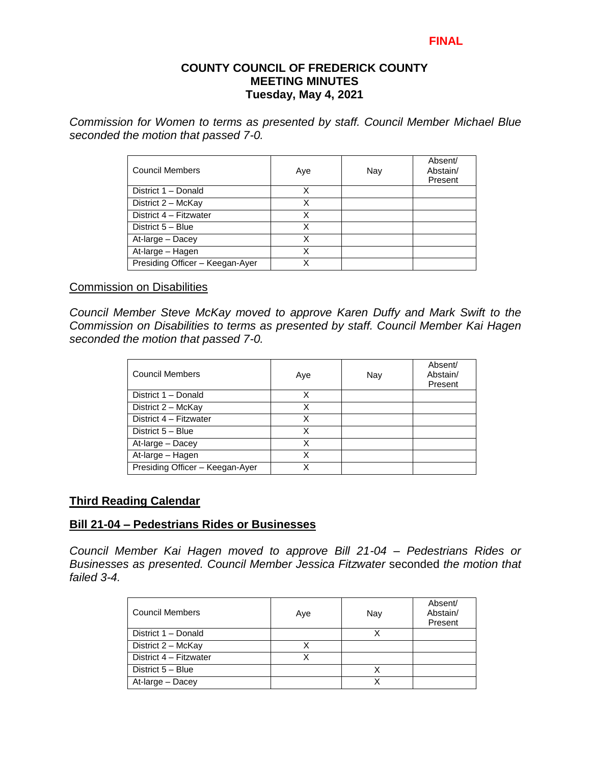#### **FINAL**

### **COUNTY COUNCIL OF FREDERICK COUNTY MEETING MINUTES Tuesday, May 4, 2021**

*Commission for Women to terms as presented by staff. Council Member Michael Blue seconded the motion that passed 7-0.* 

| <b>Council Members</b>          | Aye | Nay | Absent/<br>Abstain/<br>Present |
|---------------------------------|-----|-----|--------------------------------|
| District 1 - Donald             | x   |     |                                |
| District 2 - McKay              | х   |     |                                |
| District 4 - Fitzwater          | Χ   |     |                                |
| District 5 - Blue               | x   |     |                                |
| At-large - Dacey                | Х   |     |                                |
| At-large - Hagen                | X   |     |                                |
| Presiding Officer - Keegan-Ayer |     |     |                                |

#### Commission on Disabilities

*Council Member Steve McKay moved to approve Karen Duffy and Mark Swift to the Commission on Disabilities to terms as presented by staff. Council Member Kai Hagen seconded the motion that passed 7-0.* 

| <b>Council Members</b>          | Aye | Nay | Absent/<br>Abstain/<br>Present |
|---------------------------------|-----|-----|--------------------------------|
| District 1 - Donald             | x   |     |                                |
| District 2 - McKay              | X   |     |                                |
| District 4 - Fitzwater          | х   |     |                                |
| District 5 - Blue               | x   |     |                                |
| At-large - Dacey                | x   |     |                                |
| At-large - Hagen                | Χ   |     |                                |
| Presiding Officer - Keegan-Ayer |     |     |                                |

# **Third Reading Calendar**

### **Bill 21-04 – Pedestrians Rides or Businesses**

*Council Member Kai Hagen moved to approve Bill 21-04 – Pedestrians Rides or Businesses as presented. Council Member Jessica Fitzwater* seconded *the motion that failed 3-4.*

| Council Members        | Aye | Nay | Absent/<br>Abstain/<br>Present |
|------------------------|-----|-----|--------------------------------|
| District 1 - Donald    |     |     |                                |
| District 2 - McKay     |     |     |                                |
| District 4 - Fitzwater |     |     |                                |
| District 5 - Blue      |     |     |                                |
| At-large - Dacey       |     |     |                                |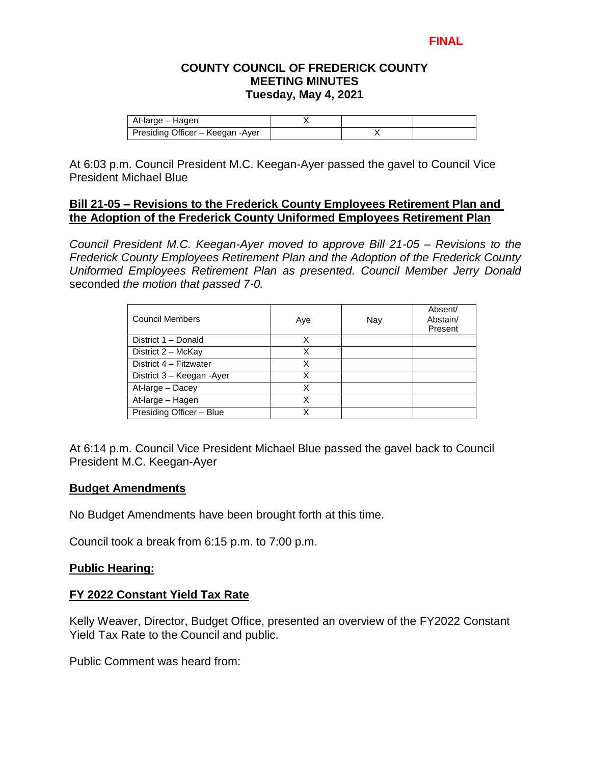### **FINAL**

### **COUNTY COUNCIL OF FREDERICK COUNTY MEETING MINUTES Tuesday, May 4, 2021**

| At-large – Hagen                  |  |  |
|-----------------------------------|--|--|
| Presiding Officer - Keegan - Ayer |  |  |

At 6:03 p.m. Council President M.C. Keegan-Ayer passed the gavel to Council Vice President Michael Blue

### **Bill 21-05 – Revisions to the Frederick County Employees Retirement Plan and the Adoption of the Frederick County Uniformed Employees Retirement Plan**

*Council President M.C. Keegan-Ayer moved to approve Bill 21-05 – Revisions to the Frederick County Employees Retirement Plan and the Adoption of the Frederick County Uniformed Employees Retirement Plan as presented. Council Member Jerry Donald* seconded *the motion that passed 7-0.*

| <b>Council Members</b>    | Aye | Nay | Absent/<br>Abstain/<br>Present |
|---------------------------|-----|-----|--------------------------------|
| District 1 - Donald       | х   |     |                                |
| District 2 - McKay        | x   |     |                                |
| District 4 - Fitzwater    | Χ   |     |                                |
| District 3 - Keegan -Ayer | X   |     |                                |
| At-large - Dacey          | Χ   |     |                                |
| At-large - Hagen          | Χ   |     |                                |
| Presiding Officer - Blue  |     |     |                                |

At 6:14 p.m. Council Vice President Michael Blue passed the gavel back to Council President M.C. Keegan-Ayer

#### **Budget Amendments**

No Budget Amendments have been brought forth at this time.

Council took a break from 6:15 p.m. to 7:00 p.m.

# **Public Hearing:**

#### **FY 2022 Constant Yield Tax Rate**

Kelly Weaver, Director, Budget Office, presented an overview of the FY2022 Constant Yield Tax Rate to the Council and public.

Public Comment was heard from: